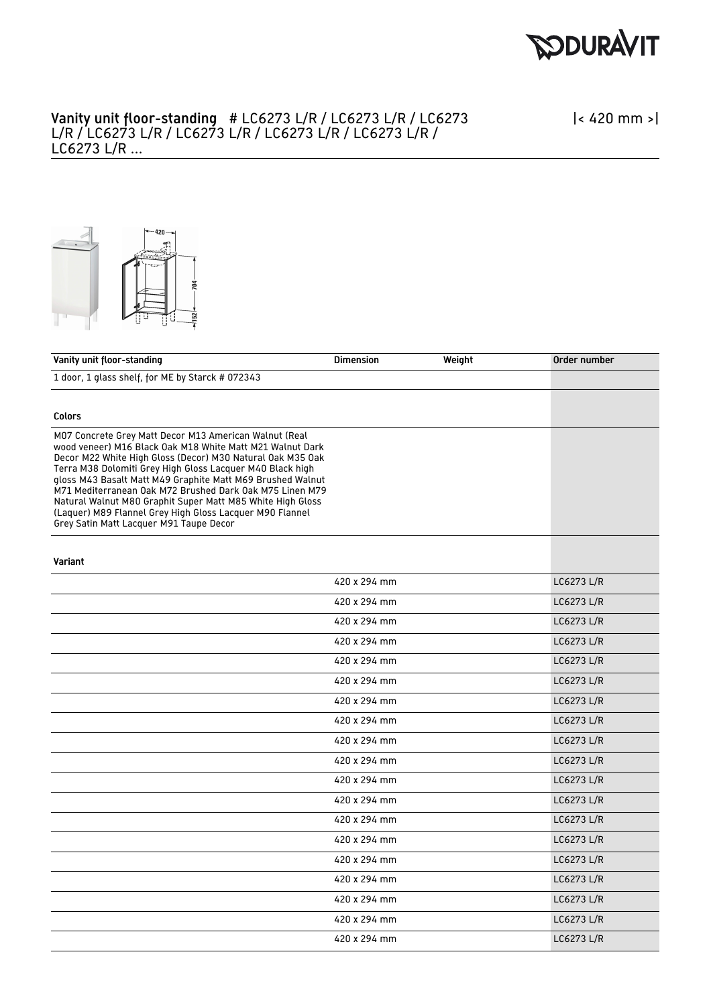

## Vanity unit floor-standing # LC6273 L/R / LC6273 L/R / LC6273 L/R / LC6273 L/R / LC6273 L/R / LC6273 L/R / LC6273 L/R / LC6273 L/R ...

|< 420 mm >|



| Vanity unit floor-standing                                                                                                                                                                                                                                                                                                                                                                                                                                                                                                                    | <b>Dimension</b> | Weight | Order number |
|-----------------------------------------------------------------------------------------------------------------------------------------------------------------------------------------------------------------------------------------------------------------------------------------------------------------------------------------------------------------------------------------------------------------------------------------------------------------------------------------------------------------------------------------------|------------------|--------|--------------|
| 1 door, 1 glass shelf, for ME by Starck # 072343                                                                                                                                                                                                                                                                                                                                                                                                                                                                                              |                  |        |              |
|                                                                                                                                                                                                                                                                                                                                                                                                                                                                                                                                               |                  |        |              |
| Colors                                                                                                                                                                                                                                                                                                                                                                                                                                                                                                                                        |                  |        |              |
| M07 Concrete Grey Matt Decor M13 American Walnut (Real<br>wood veneer) M16 Black Oak M18 White Matt M21 Walnut Dark<br>Decor M22 White High Gloss (Decor) M30 Natural Oak M35 Oak<br>Terra M38 Dolomiti Grey High Gloss Lacquer M40 Black high<br>gloss M43 Basalt Matt M49 Graphite Matt M69 Brushed Walnut<br>M71 Mediterranean Oak M72 Brushed Dark Oak M75 Linen M79<br>Natural Walnut M80 Graphit Super Matt M85 White High Gloss<br>(Laquer) M89 Flannel Grey High Gloss Lacquer M90 Flannel<br>Grey Satin Matt Lacquer M91 Taupe Decor |                  |        |              |
| Variant                                                                                                                                                                                                                                                                                                                                                                                                                                                                                                                                       |                  |        |              |
|                                                                                                                                                                                                                                                                                                                                                                                                                                                                                                                                               | 420 x 294 mm     |        | LC6273 L/R   |
|                                                                                                                                                                                                                                                                                                                                                                                                                                                                                                                                               | 420 x 294 mm     |        | LC6273 L/R   |
|                                                                                                                                                                                                                                                                                                                                                                                                                                                                                                                                               | 420 x 294 mm     |        | LC6273 L/R   |
|                                                                                                                                                                                                                                                                                                                                                                                                                                                                                                                                               | 420 x 294 mm     |        | LC6273 L/R   |
|                                                                                                                                                                                                                                                                                                                                                                                                                                                                                                                                               | 420 x 294 mm     |        | LC6273 L/R   |
|                                                                                                                                                                                                                                                                                                                                                                                                                                                                                                                                               | 420 x 294 mm     |        | LC6273 L/R   |
|                                                                                                                                                                                                                                                                                                                                                                                                                                                                                                                                               | 420 x 294 mm     |        | LC6273 L/R   |
|                                                                                                                                                                                                                                                                                                                                                                                                                                                                                                                                               | 420 x 294 mm     |        | LC6273 L/R   |
|                                                                                                                                                                                                                                                                                                                                                                                                                                                                                                                                               | 420 x 294 mm     |        | LC6273 L/R   |
|                                                                                                                                                                                                                                                                                                                                                                                                                                                                                                                                               | 420 x 294 mm     |        | LC6273 L/R   |
|                                                                                                                                                                                                                                                                                                                                                                                                                                                                                                                                               | 420 x 294 mm     |        | LC6273 L/R   |
|                                                                                                                                                                                                                                                                                                                                                                                                                                                                                                                                               | 420 x 294 mm     |        | LC6273 L/R   |
|                                                                                                                                                                                                                                                                                                                                                                                                                                                                                                                                               | 420 x 294 mm     |        | LC6273 L/R   |
|                                                                                                                                                                                                                                                                                                                                                                                                                                                                                                                                               | 420 x 294 mm     |        | LC6273 L/R   |
|                                                                                                                                                                                                                                                                                                                                                                                                                                                                                                                                               | 420 x 294 mm     |        | LC6273 L/R   |
|                                                                                                                                                                                                                                                                                                                                                                                                                                                                                                                                               | 420 x 294 mm     |        | LC6273 L/R   |
|                                                                                                                                                                                                                                                                                                                                                                                                                                                                                                                                               | 420 x 294 mm     |        | LC6273 L/R   |
|                                                                                                                                                                                                                                                                                                                                                                                                                                                                                                                                               | 420 x 294 mm     |        | LC6273 L/R   |
|                                                                                                                                                                                                                                                                                                                                                                                                                                                                                                                                               | 420 x 294 mm     |        | LC6273 L/R   |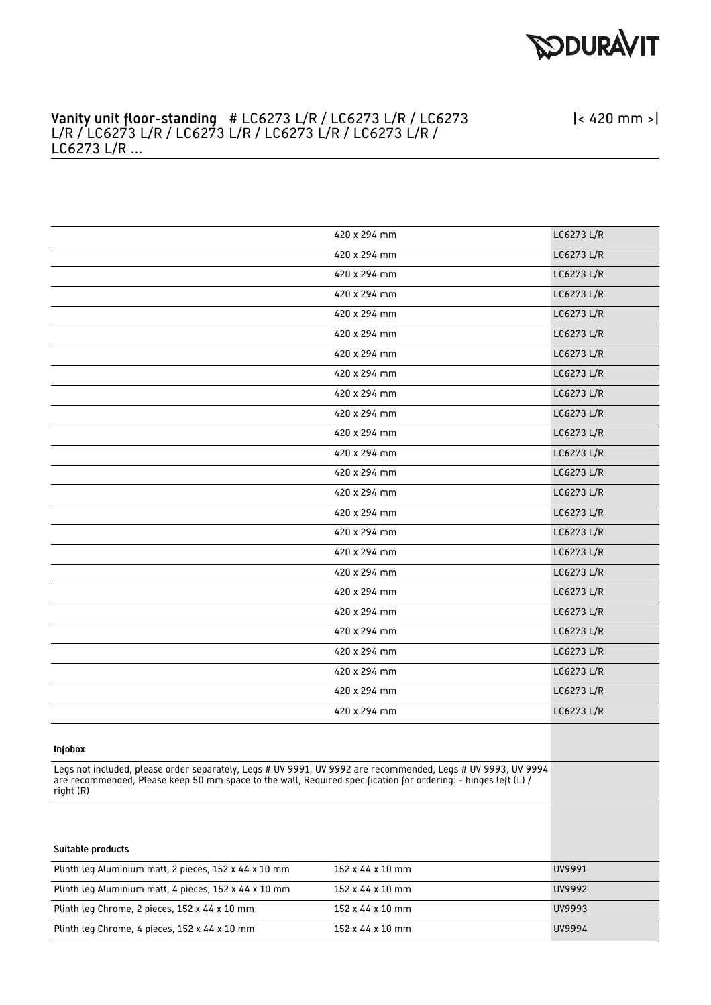

|< 420 mm >|

## Vanity unit floor-standing # LC6273 L/R / LC6273 L/R / LC6273 L/R / LC6273 L/R / LC6273 L/R / LC6273 L/R / LC6273 L/R / LC6273 L/R ...

|                                                                                                                                                                                                                                             | 420 x 294 mm     | LC6273 L/R |
|---------------------------------------------------------------------------------------------------------------------------------------------------------------------------------------------------------------------------------------------|------------------|------------|
|                                                                                                                                                                                                                                             | 420 x 294 mm     | LC6273 L/R |
|                                                                                                                                                                                                                                             | 420 x 294 mm     | LC6273 L/R |
|                                                                                                                                                                                                                                             | 420 x 294 mm     | LC6273 L/R |
|                                                                                                                                                                                                                                             | 420 x 294 mm     | LC6273 L/R |
|                                                                                                                                                                                                                                             | 420 x 294 mm     | LC6273 L/R |
|                                                                                                                                                                                                                                             | 420 x 294 mm     | LC6273 L/R |
|                                                                                                                                                                                                                                             | 420 x 294 mm     | LC6273 L/R |
|                                                                                                                                                                                                                                             | 420 x 294 mm     | LC6273 L/R |
|                                                                                                                                                                                                                                             | 420 x 294 mm     | LC6273 L/R |
|                                                                                                                                                                                                                                             | 420 x 294 mm     | LC6273 L/R |
|                                                                                                                                                                                                                                             | 420 x 294 mm     | LC6273 L/R |
|                                                                                                                                                                                                                                             | 420 x 294 mm     | LC6273 L/R |
|                                                                                                                                                                                                                                             | 420 x 294 mm     | LC6273 L/R |
|                                                                                                                                                                                                                                             | 420 x 294 mm     | LC6273 L/R |
|                                                                                                                                                                                                                                             | 420 x 294 mm     | LC6273 L/R |
|                                                                                                                                                                                                                                             | 420 x 294 mm     | LC6273 L/R |
|                                                                                                                                                                                                                                             | 420 x 294 mm     | LC6273 L/R |
|                                                                                                                                                                                                                                             | 420 x 294 mm     | LC6273 L/R |
|                                                                                                                                                                                                                                             | 420 x 294 mm     | LC6273 L/R |
|                                                                                                                                                                                                                                             | 420 x 294 mm     | LC6273 L/R |
|                                                                                                                                                                                                                                             | 420 x 294 mm     | LC6273 L/R |
|                                                                                                                                                                                                                                             | 420 x 294 mm     | LC6273 L/R |
|                                                                                                                                                                                                                                             | 420 x 294 mm     | LC6273 L/R |
|                                                                                                                                                                                                                                             | 420 x 294 mm     | LC6273 L/R |
| <b>Infobox</b>                                                                                                                                                                                                                              |                  |            |
| Legs not included, please order separately, Legs # UV 9991, UV 9992 are recommended, Legs # UV 9993, UV 9994<br>are recommended, Please keep 50 mm space to the wall, Required specification for ordering: - hinges left (L) /<br>right (R) |                  |            |
| Suitable products                                                                                                                                                                                                                           |                  |            |
| Plinth leg Aluminium matt, 2 pieces, 152 x 44 x 10 mm                                                                                                                                                                                       | 152 x 44 x 10 mm | UV9991     |
|                                                                                                                                                                                                                                             |                  | UV9992     |
| Plinth leg Aluminium matt, 4 pieces, 152 x 44 x 10 mm                                                                                                                                                                                       | 152 x 44 x 10 mm |            |
| Plinth leg Chrome, 2 pieces, 152 x 44 x 10 mm                                                                                                                                                                                               | 152 x 44 x 10 mm | UV9993     |
| Plinth leg Chrome, 4 pieces, 152 x 44 x 10 mm                                                                                                                                                                                               | 152 x 44 x 10 mm | UV9994     |